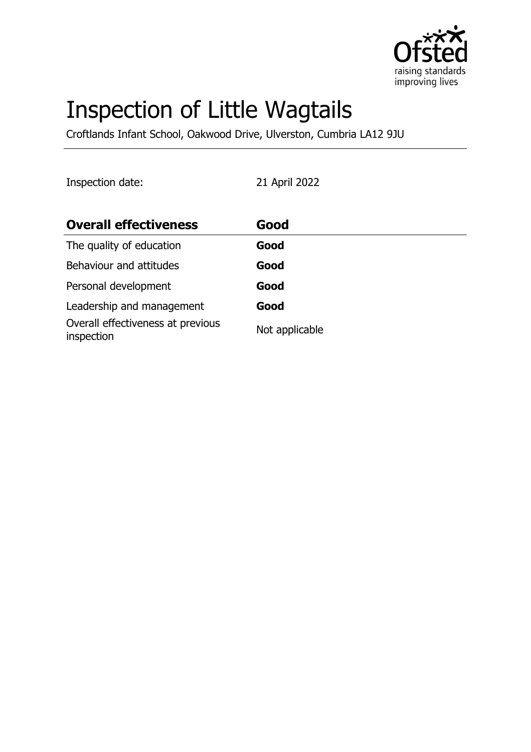

# Inspection of Little Wagtails

Croftlands Infant School, Oakwood Drive, Ulverston, Cumbria LA12 9JU

Inspection date: 21 April 2022

| <b>Overall effectiveness</b>                    | Good           |
|-------------------------------------------------|----------------|
| The quality of education                        | Good           |
| Behaviour and attitudes                         | Good           |
| Personal development                            | Good           |
| Leadership and management                       | Good           |
| Overall effectiveness at previous<br>inspection | Not applicable |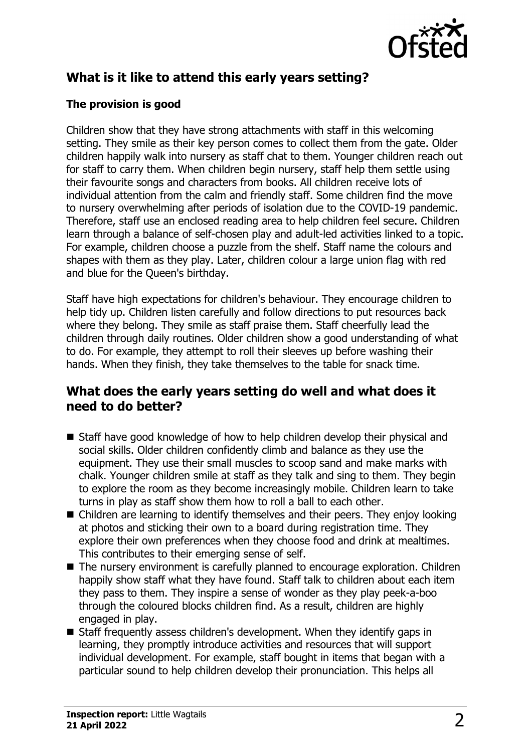

# **What is it like to attend this early years setting?**

### **The provision is good**

Children show that they have strong attachments with staff in this welcoming setting. They smile as their key person comes to collect them from the gate. Older children happily walk into nursery as staff chat to them. Younger children reach out for staff to carry them. When children begin nursery, staff help them settle using their favourite songs and characters from books. All children receive lots of individual attention from the calm and friendly staff. Some children find the move to nursery overwhelming after periods of isolation due to the COVID-19 pandemic. Therefore, staff use an enclosed reading area to help children feel secure. Children learn through a balance of self-chosen play and adult-led activities linked to a topic. For example, children choose a puzzle from the shelf. Staff name the colours and shapes with them as they play. Later, children colour a large union flag with red and blue for the Queen's birthday.

Staff have high expectations for children's behaviour. They encourage children to help tidy up. Children listen carefully and follow directions to put resources back where they belong. They smile as staff praise them. Staff cheerfully lead the children through daily routines. Older children show a good understanding of what to do. For example, they attempt to roll their sleeves up before washing their hands. When they finish, they take themselves to the table for snack time.

## **What does the early years setting do well and what does it need to do better?**

- $\blacksquare$  Staff have good knowledge of how to help children develop their physical and social skills. Older children confidently climb and balance as they use the equipment. They use their small muscles to scoop sand and make marks with chalk. Younger children smile at staff as they talk and sing to them. They begin to explore the room as they become increasingly mobile. Children learn to take turns in play as staff show them how to roll a ball to each other.
- $\blacksquare$  Children are learning to identify themselves and their peers. They enjoy looking at photos and sticking their own to a board during registration time. They explore their own preferences when they choose food and drink at mealtimes. This contributes to their emerging sense of self.
- $\blacksquare$  The nursery environment is carefully planned to encourage exploration. Children happily show staff what they have found. Staff talk to children about each item they pass to them. They inspire a sense of wonder as they play peek-a-boo through the coloured blocks children find. As a result, children are highly engaged in play.
- Staff frequently assess children's development. When they identify gaps in learning, they promptly introduce activities and resources that will support individual development. For example, staff bought in items that began with a particular sound to help children develop their pronunciation. This helps all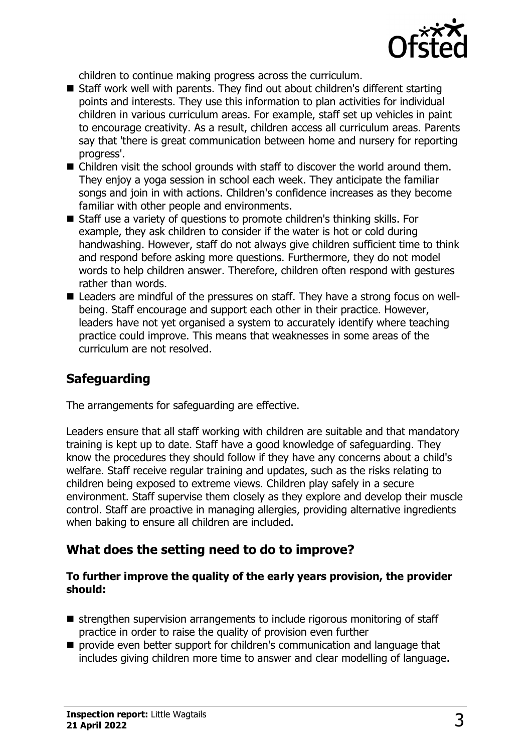

children to continue making progress across the curriculum.

- Staff work well with parents. They find out about children's different starting points and interests. They use this information to plan activities for individual children in various curriculum areas. For example, staff set up vehicles in paint to encourage creativity. As a result, children access all curriculum areas. Parents say that 'there is great communication between home and nursery for reporting progress'.
- $\blacksquare$  Children visit the school grounds with staff to discover the world around them. They enjoy a yoga session in school each week. They anticipate the familiar songs and join in with actions. Children's confidence increases as they become familiar with other people and environments.
- Staff use a variety of questions to promote children's thinking skills. For example, they ask children to consider if the water is hot or cold during handwashing. However, staff do not always give children sufficient time to think and respond before asking more questions. Furthermore, they do not model words to help children answer. Therefore, children often respond with gestures rather than words.
- Leaders are mindful of the pressures on staff. They have a strong focus on wellbeing. Staff encourage and support each other in their practice. However, leaders have not yet organised a system to accurately identify where teaching practice could improve. This means that weaknesses in some areas of the curriculum are not resolved.

# **Safeguarding**

The arrangements for safeguarding are effective.

Leaders ensure that all staff working with children are suitable and that mandatory training is kept up to date. Staff have a good knowledge of safeguarding. They know the procedures they should follow if they have any concerns about a child's welfare. Staff receive regular training and updates, such as the risks relating to children being exposed to extreme views. Children play safely in a secure environment. Staff supervise them closely as they explore and develop their muscle control. Staff are proactive in managing allergies, providing alternative ingredients when baking to ensure all children are included.

# **What does the setting need to do to improve?**

#### **To further improve the quality of the early years provision, the provider should:**

- $\blacksquare$  strengthen supervision arrangements to include rigorous monitoring of staff practice in order to raise the quality of provision even further
- **n** provide even better support for children's communication and language that includes giving children more time to answer and clear modelling of language.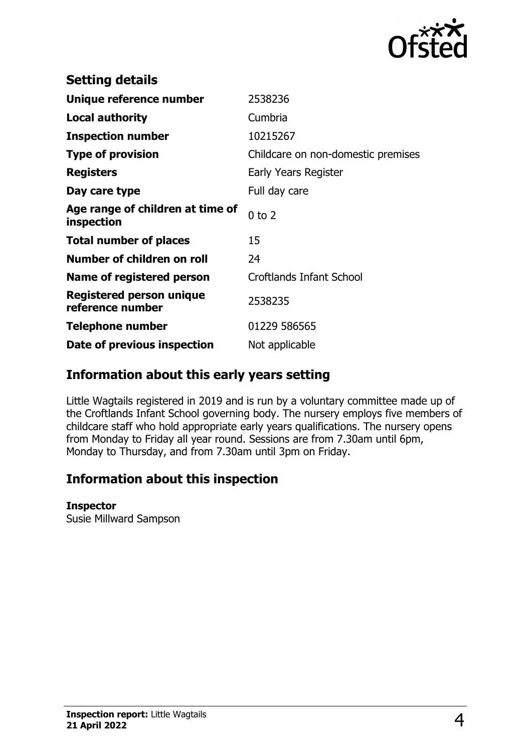

| <b>Setting details</b>                         |                                    |
|------------------------------------------------|------------------------------------|
| Unique reference number                        | 2538236                            |
| <b>Local authority</b>                         | Cumbria                            |
| <b>Inspection number</b>                       | 10215267                           |
| <b>Type of provision</b>                       | Childcare on non-domestic premises |
| <b>Registers</b>                               | Early Years Register               |
| Day care type                                  | Full day care                      |
| Age range of children at time of<br>inspection | $0$ to $2$                         |
| <b>Total number of places</b>                  | 15                                 |
| Number of children on roll                     | 24                                 |
| Name of registered person                      | Croftlands Infant School           |
| Registered person unique<br>reference number   | 2538235                            |
| <b>Telephone number</b>                        | 01229 586565                       |
| Date of previous inspection                    | Not applicable                     |

## **Information about this early years setting**

Little Wagtails registered in 2019 and is run by a voluntary committee made up of the Croftlands Infant School governing body. The nursery employs five members of childcare staff who hold appropriate early years qualifications. The nursery opens from Monday to Friday all year round. Sessions are from 7.30am until 6pm, Monday to Thursday, and from 7.30am until 3pm on Friday.

## **Information about this inspection**

#### **Inspector**

Susie Millward Sampson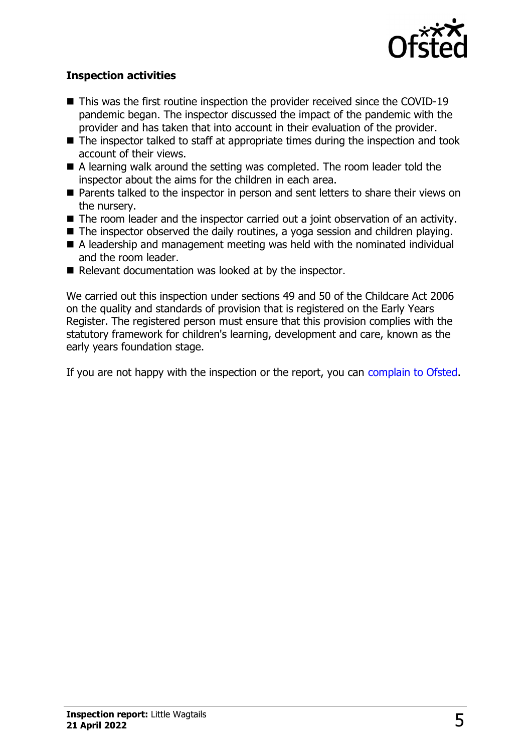

#### **Inspection activities**

- $\blacksquare$  This was the first routine inspection the provider received since the COVID-19 pandemic began. The inspector discussed the impact of the pandemic with the provider and has taken that into account in their evaluation of the provider.
- $\blacksquare$  The inspector talked to staff at appropriate times during the inspection and took account of their views.
- $\blacksquare$  A learning walk around the setting was completed. The room leader told the inspector about the aims for the children in each area.
- Parents talked to the inspector in person and sent letters to share their views on the nursery.
- $\blacksquare$  The room leader and the inspector carried out a joint observation of an activity.
- $\blacksquare$  The inspector observed the daily routines, a yoga session and children playing.
- $\blacksquare$  A leadership and management meeting was held with the nominated individual and the room leader.
- $\blacksquare$  Relevant documentation was looked at by the inspector.

We carried out this inspection under sections 49 and 50 of the Childcare Act 2006 on the quality and standards of provision that is registered on the Early Years Register. The registered person must ensure that this provision complies with the statutory framework for children's learning, development and care, known as the early years foundation stage.

If you are not happy with the inspection or the report, you can [complain to Ofsted](http://www.gov.uk/complain-ofsted-report).